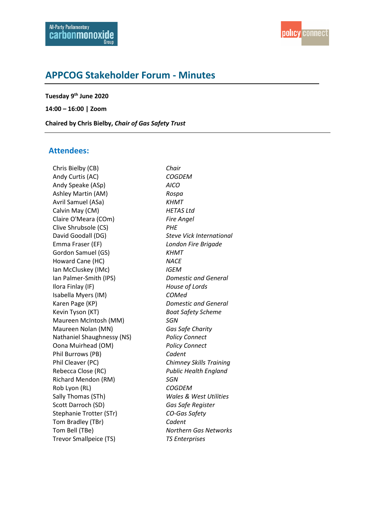# **APPCOG Stakeholder Forum - Minutes**

**Tuesday 9 th June 2020**

**14:00 – 16:00 | Zoom**

**Chaired by Chris Bielby,** *Chair of Gas Safety Trust* 

## **Attendees:**

Chris Bielby (CB) *Chair* Andy Curtis (AC) *COGDEM* Andy Speake (ASp) *AICO* Ashley Martin (AM) *Rospa* Avril Samuel (ASa) *KHMT* Calvin May (CM) *HETAS Ltd* Claire O'Meara (COm) *Fire Angel* Clive Shrubsole (CS) *PHE* David Goodall (DG) *Steve Vick International* Emma Fraser (EF) *London Fire Brigade* Gordon Samuel (GS) *KHMT* Howard Cane (HC) *NACE* Ian McCluskey (IMc) *IGEM* Ian Palmer-Smith (IPS) *Domestic and General* Ilora Finlay (IF) *House of Lords* Isabella Myers (IM) *COMed* Karen Page (KP) *Domestic and General* Kevin Tyson (KT) *Boat Safety Scheme* Maureen McIntosh (MM) *SGN* Maureen Nolan (MN) *Gas Safe Charity* Nathaniel Shaughnessy (NS) *Policy Connect* Oona Muirhead (OM) *Policy Connect* Phil Burrows (PB) *Cadent* Phil Cleaver (PC) *Chimney Skills Training* Rebecca Close (RC) *Public Health England* Richard Mendon (RM) *SGN* Rob Lyon (RL) *COGDEM* Sally Thomas (STh) *Wales & West Utilities* Scott Darroch (SD) *Gas Safe Register* Stephanie Trotter (STr) *CO-Gas Safety* Tom Bradley (TBr) *Cadent* Tom Bell (TBe) *Northern Gas Networks* Trevor Smallpeice (TS) *TS Enterprises*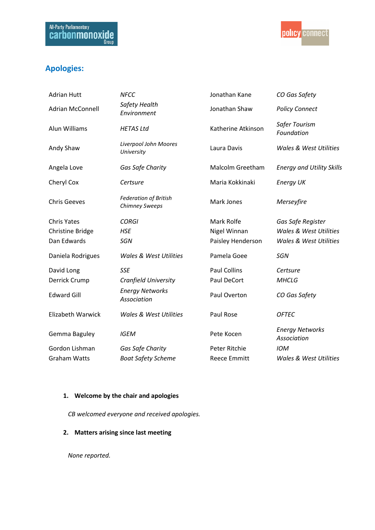

# **Apologies:**

| <b>Adrian Hutt</b>       | <b>NFCC</b>                                    | Jonathan Kane       | CO Gas Safety                         |
|--------------------------|------------------------------------------------|---------------------|---------------------------------------|
| <b>Adrian McConnell</b>  | Safety Health<br>Environment                   | Jonathan Shaw       | <b>Policy Connect</b>                 |
| Alun Williams            | <b>HETAS Ltd</b>                               | Katherine Atkinson  | Safer Tourism<br>Foundation           |
| Andy Shaw                | Liverpool John Moores<br>University            | Laura Davis         | <b>Wales &amp; West Utilities</b>     |
| Angela Love              | Gas Safe Charity                               | Malcolm Greetham    | <b>Energy and Utility Skills</b>      |
| Cheryl Cox               | Certsure                                       | Maria Kokkinaki     | <b>Energy UK</b>                      |
| <b>Chris Geeves</b>      | <b>Federation of British</b><br>Chimney Sweeps | Mark Jones          | Merseyfire                            |
| <b>Chris Yates</b>       | <b>CORGI</b>                                   | Mark Rolfe          | Gas Safe Register                     |
| <b>Christine Bridge</b>  | <b>HSE</b>                                     | Nigel Winnan        | Wales & West Utilities                |
| Dan Edwards              | SGN                                            | Paisley Henderson   | Wales & West Utilities                |
| Daniela Rodrigues        | <b>Wales &amp; West Utilities</b>              | Pamela Goee         | <b>SGN</b>                            |
| David Long               | <b>SSE</b>                                     | <b>Paul Collins</b> | Certsure                              |
| Derrick Crump            | Cranfield University                           | Paul DeCort         | <b>MHCLG</b>                          |
| <b>Edward Gill</b>       | <b>Energy Networks</b><br>Association          | Paul Overton        | CO Gas Safety                         |
| <b>Elizabeth Warwick</b> | <b>Wales &amp; West Utilities</b>              | Paul Rose           | <b>OFTEC</b>                          |
| Gemma Baguley            | <b>IGEM</b>                                    | Pete Kocen          | <b>Energy Networks</b><br>Association |
| Gordon Lishman           | Gas Safe Charity                               | Peter Ritchie       | <b>IOM</b>                            |
| <b>Graham Watts</b>      | <b>Boat Safety Scheme</b>                      | <b>Reece Emmitt</b> | <b>Wales &amp; West Utilities</b>     |

## **1. Welcome by the chair and apologies**

*CB welcomed everyone and received apologies.* 

# **2. Matters arising since last meeting**

*None reported.*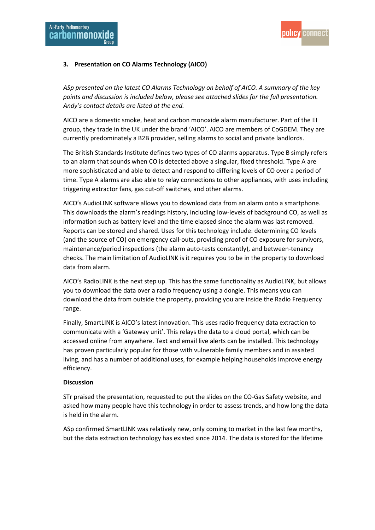

## **3. Presentation on CO Alarms Technology (AICO)**

*ASp presented on the latest CO Alarms Technology on behalf of AICO. A summary of the key points and discussion is included below, please see attached slides for the full presentation. Andy's contact details are listed at the end.*

AICO are a domestic smoke, heat and carbon monoxide alarm manufacturer. Part of the EI group, they trade in the UK under the brand 'AICO'. AICO are members of CoGDEM. They are currently predominately a B2B provider, selling alarms to social and private landlords.

The British Standards Institute defines two types of CO alarms apparatus. Type B simply refers to an alarm that sounds when CO is detected above a singular, fixed threshold. Type A are more sophisticated and able to detect and respond to differing levels of CO over a period of time. Type A alarms are also able to relay connections to other appliances, with uses including triggering extractor fans, gas cut-off switches, and other alarms.

AICO's AudioLINK software allows you to download data from an alarm onto a smartphone. This downloads the alarm's readings history, including low-levels of background CO, as well as information such as battery level and the time elapsed since the alarm was last removed. Reports can be stored and shared. Uses for this technology include: determining CO levels (and the source of CO) on emergency call-outs, providing proof of CO exposure for survivors, maintenance/period inspections (the alarm auto-tests constantly), and between-tenancy checks. The main limitation of AudioLINK is it requires you to be in the property to download data from alarm.

AICO's RadioLINK is the next step up. This has the same functionality as AudioLINK, but allows you to download the data over a radio frequency using a dongle. This means you can download the data from outside the property, providing you are inside the Radio Frequency range.

Finally, SmartLINK is AICO's latest innovation. This uses radio frequency data extraction to communicate with a 'Gateway unit'. This relays the data to a cloud portal, which can be accessed online from anywhere. Text and email live alerts can be installed. This technology has proven particularly popular for those with vulnerable family members and in assisted living, and has a number of additional uses, for example helping households improve energy efficiency.

#### **Discussion**

STr praised the presentation, requested to put the slides on the CO-Gas Safety website, and asked how many people have this technology in order to assess trends, and how long the data is held in the alarm.

ASp confirmed SmartLINK was relatively new, only coming to market in the last few months, but the data extraction technology has existed since 2014. The data is stored for the lifetime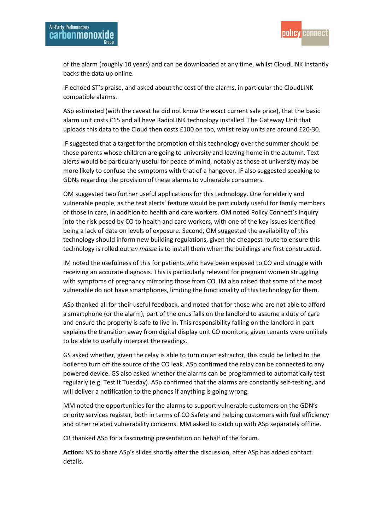

of the alarm (roughly 10 years) and can be downloaded at any time, whilst CloudLINK instantly backs the data up online.

IF echoed ST's praise, and asked about the cost of the alarms, in particular the CloudLINK compatible alarms.

ASp estimated (with the caveat he did not know the exact current sale price), that the basic alarm unit costs £15 and all have RadioLINK technology installed. The Gateway Unit that uploads this data to the Cloud then costs £100 on top, whilst relay units are around £20-30.

IF suggested that a target for the promotion of this technology over the summer should be those parents whose children are going to university and leaving home in the autumn. Text alerts would be particularly useful for peace of mind, notably as those at university may be more likely to confuse the symptoms with that of a hangover. IF also suggested speaking to GDNs regarding the provision of these alarms to vulnerable consumers.

OM suggested two further useful applications for this technology. One for elderly and vulnerable people, as the text alerts' feature would be particularly useful for family members of those in care, in addition to health and care workers. OM noted Policy Connect's inquiry into the risk posed by CO to health and care workers, with one of the key issues identified being a lack of data on levels of exposure. Second, OM suggested the availability of this technology should inform new building regulations, given the cheapest route to ensure this technology is rolled out *en masse* is to install them when the buildings are first constructed.

IM noted the usefulness of this for patients who have been exposed to CO and struggle with receiving an accurate diagnosis. This is particularly relevant for pregnant women struggling with symptoms of pregnancy mirroring those from CO. IM also raised that some of the most vulnerable do not have smartphones, limiting the functionality of this technology for them.

ASp thanked all for their useful feedback, and noted that for those who are not able to afford a smartphone (or the alarm), part of the onus falls on the landlord to assume a duty of care and ensure the property is safe to live in. This responsibility falling on the landlord in part explains the transition away from digital display unit CO monitors, given tenants were unlikely to be able to usefully interpret the readings.

GS asked whether, given the relay is able to turn on an extractor, this could be linked to the boiler to turn off the source of the CO leak. ASp confirmed the relay can be connected to any powered device. GS also asked whether the alarms can be programmed to automatically test regularly (e.g. Test It Tuesday). ASp confirmed that the alarms are constantly self-testing, and will deliver a notification to the phones if anything is going wrong.

MM noted the opportunities for the alarms to support vulnerable customers on the GDN's priority services register, both in terms of CO Safety and helping customers with fuel efficiency and other related vulnerability concerns. MM asked to catch up with ASp separately offline.

CB thanked ASp for a fascinating presentation on behalf of the forum.

**Action:** NS to share ASp's slides shortly after the discussion, after ASp has added contact details.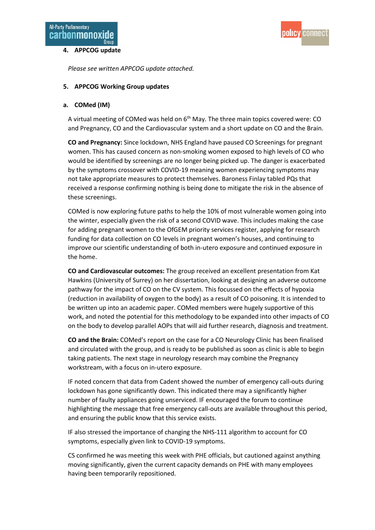#### **4. APPCOG update**



*Please see written APPCOG update attached.* 

#### **5. APPCOG Working Group updates**

#### **a. COMed (IM)**

A virtual meeting of COMed was held on 6<sup>th</sup> May. The three main topics covered were: CO and Pregnancy, CO and the Cardiovascular system and a short update on CO and the Brain.

**CO and Pregnancy:** Since lockdown, NHS England have paused CO Screenings for pregnant women. This has caused concern as non-smoking women exposed to high levels of CO who would be identified by screenings are no longer being picked up. The danger is exacerbated by the symptoms crossover with COVID-19 meaning women experiencing symptoms may not take appropriate measures to protect themselves. Baroness Finlay tabled PQs that received a response confirming nothing is being done to mitigate the risk in the absence of these screenings.

COMed is now exploring future paths to help the 10% of most vulnerable women going into the winter, especially given the risk of a second COVID wave. This includes making the case for adding pregnant women to the OfGEM priority services register, applying for research funding for data collection on CO levels in pregnant women's houses, and continuing to improve our scientific understanding of both in-utero exposure and continued exposure in the home.

**CO and Cardiovascular outcomes:** The group received an excellent presentation from Kat Hawkins (University of Surrey) on her dissertation, looking at designing an adverse outcome pathway for the impact of CO on the CV system. This focussed on the effects of hypoxia (reduction in availability of oxygen to the body) as a result of CO poisoning. It is intended to be written up into an academic paper. COMed members were hugely supportive of this work, and noted the potential for this methodology to be expanded into other impacts of CO on the body to develop parallel AOPs that will aid further research, diagnosis and treatment.

**CO and the Brain:** COMed's report on the case for a CO Neurology Clinic has been finalised and circulated with the group, and is ready to be published as soon as clinic is able to begin taking patients. The next stage in neurology research may combine the Pregnancy workstream, with a focus on in-utero exposure.

IF noted concern that data from Cadent showed the number of emergency call-outs during lockdown has gone significantly down. This indicated there may a significantly higher number of faulty appliances going unserviced. IF encouraged the forum to continue highlighting the message that free emergency call-outs are available throughout this period, and ensuring the public know that this service exists.

IF also stressed the importance of changing the NHS-111 algorithm to account for CO symptoms, especially given link to COVID-19 symptoms.

CS confirmed he was meeting this week with PHE officials, but cautioned against anything moving significantly, given the current capacity demands on PHE with many employees having been temporarily repositioned.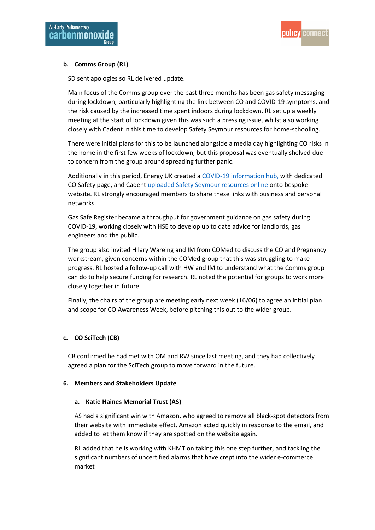

## **b. Comms Group (RL)**

SD sent apologies so RL delivered update.

Main focus of the Comms group over the past three months has been gas safety messaging during lockdown, particularly highlighting the link between CO and COVID-19 symptoms, and the risk caused by the increased time spent indoors during lockdown. RL set up a weekly meeting at the start of lockdown given this was such a pressing issue, whilst also working closely with Cadent in this time to develop Safety Seymour resources for home-schooling.

There were initial plans for this to be launched alongside a media day highlighting CO risks in the home in the first few weeks of lockdown, but this proposal was eventually shelved due to concern from the group around spreading further panic.

Additionally in this period, Energy UK created a COVID-19 [information](https://www.energy-uk.org.uk/our-work/covid-19-information-hub.html) hub, with dedicated CO Safety page, and Caden[t uploaded Safety Seymour resources online](http://www.safetyseymour.co.uk/) onto bespoke website. RL strongly encouraged members to share these links with business and personal networks.

Gas Safe Register became a throughput for government guidance on gas safety during COVID-19, working closely with HSE to develop up to date advice for landlords, gas engineers and the public.

The group also invited Hilary Wareing and IM from COMed to discuss the CO and Pregnancy workstream, given concerns within the COMed group that this was struggling to make progress. RL hosted a follow-up call with HW and IM to understand what the Comms group can do to help secure funding for research. RL noted the potential for groups to work more closely together in future.

Finally, the chairs of the group are meeting early next week (16/06) to agree an initial plan and scope for CO Awareness Week, before pitching this out to the wider group.

#### **c. CO SciTech (CB)**

CB confirmed he had met with OM and RW since last meeting, and they had collectively agreed a plan for the SciTech group to move forward in the future.

#### **6. Members and Stakeholders Update**

#### **a. Katie Haines Memorial Trust (AS)**

AS had a significant win with Amazon, who agreed to remove all black-spot detectors from their website with immediate effect. Amazon acted quickly in response to the email, and added to let them know if they are spotted on the website again.

RL added that he is working with KHMT on taking this one step further, and tackling the significant numbers of uncertified alarms that have crept into the wider e-commerce market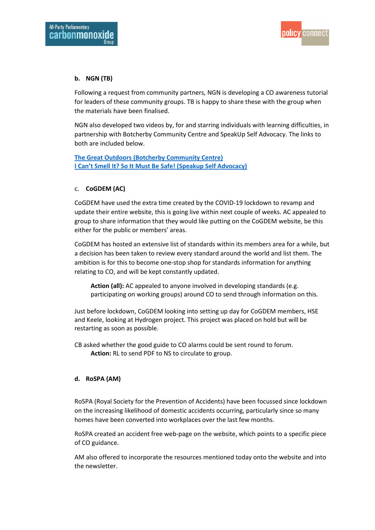

## **b. NGN (TB)**

Following a request from community partners, NGN is developing a CO awareness tutorial for leaders of these community groups. TB is happy to share these with the group when the materials have been finalised.

NGN also developed two videos by, for and starring individuals with learning difficulties, in partnership with Botcherby Community Centre and SpeakUp Self Advocacy. The links to both are included below.

**[The Great Outdoors \(Botcherby Community Centre\)](https://www.youtube.com/watch?v=a9Q3smQP3mU) [I Can't Smell It? So It Must Be Safe! \(Speakup Self Advocacy\)](https://www.speakup.org.uk/icantsmellit)**

## c. **CoGDEM (AC)**

CoGDEM have used the extra time created by the COVID-19 lockdown to revamp and update their entire website, this is going live within next couple of weeks. AC appealed to group to share information that they would like putting on the CoGDEM website, be this either for the public or members' areas.

CoGDEM has hosted an extensive list of standards within its members area for a while, but a decision has been taken to review every standard around the world and list them. The ambition is for this to become one-stop shop for standards information for anything relating to CO, and will be kept constantly updated.

**Action (all):** AC appealed to anyone involved in developing standards (e.g. participating on working groups) around CO to send through information on this.

Just before lockdown, CoGDEM looking into setting up day for CoGDEM members, HSE and Keele, looking at Hydrogen project. This project was placed on hold but will be restarting as soon as possible.

CB asked whether the good guide to CO alarms could be sent round to forum. **Action:** RL to send PDF to NS to circulate to group.

## **d. RoSPA (AM)**

RoSPA (Royal Society for the Prevention of Accidents) have been focussed since lockdown on the increasing likelihood of domestic accidents occurring, particularly since so many homes have been converted into workplaces over the last few months.

RoSPA created an accident free web-page on the website, which points to a specific piece of CO guidance.

AM also offered to incorporate the resources mentioned today onto the website and into the newsletter.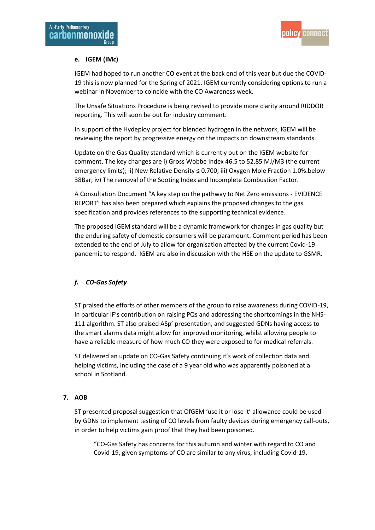

## **e. IGEM (IMc)**

IGEM had hoped to run another CO event at the back end of this year but due the COVID-19 this is now planned for the Spring of 2021. IGEM currently considering options to run a webinar in November to coincide with the CO Awareness week.

The Unsafe Situations Procedure is being revised to provide more clarity around RIDDOR reporting. This will soon be out for industry comment.

In support of the Hydeploy project for blended hydrogen in the network, IGEM will be reviewing the report by progressive energy on the impacts on downstream standards.

Update on the Gas Quality standard which is currently out on the IGEM website for comment. The key changes are i) Gross Wobbe Index 46.5 to 52.85 MJ/M3 (the current emergency limits); ii) New Relative Density ≤ 0.700; iii) Oxygen Mole Fraction 1.0%.below 38Bar; iv) The removal of the Sooting Index and Incomplete Combustion Factor.

A Consultation Document "A key step on the pathway to Net Zero emissions - EVIDENCE REPORT" has also been prepared which explains the proposed changes to the gas specification and provides references to the supporting technical evidence.

The proposed IGEM standard will be a dynamic framework for changes in gas quality but the enduring safety of domestic consumers will be paramount. Comment period has been extended to the end of July to allow for organisation affected by the current Covid-19 pandemic to respond. IGEM are also in discussion with the HSE on the update to GSMR.

## *f. CO-Gas Safety*

ST praised the efforts of other members of the group to raise awareness during COVID-19, in particular IF's contribution on raising PQs and addressing the shortcomings in the NHS-111 algorithm. ST also praised ASp' presentation, and suggested GDNs having access to the smart alarms data might allow for improved monitoring, whilst allowing people to have a reliable measure of how much CO they were exposed to for medical referrals.

ST delivered an update on CO-Gas Safety continuing it's work of collection data and helping victims, including the case of a 9 year old who was apparently poisoned at a school in Scotland.

#### **7. AOB**

ST presented proposal suggestion that OfGEM 'use it or lose it' allowance could be used by GDNs to implement testing of CO levels from faulty devices during emergency call-outs, in order to help victims gain proof that they had been poisoned.

"CO-Gas Safety has concerns for this autumn and winter with regard to CO and Covid-19, given symptoms of CO are similar to any virus, including Covid-19.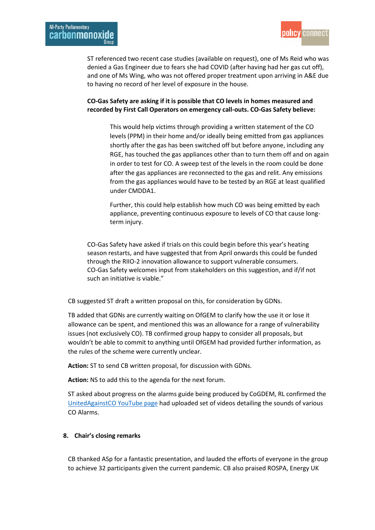

ST referenced two recent case studies (available on request), one of Ms Reid who was denied a Gas Engineer due to fears she had COVID (after having had her gas cut off), and one of Ms Wing, who was not offered proper treatment upon arriving in A&E due to having no record of her level of exposure in the house.

## **CO-Gas Safety are asking if it is possible that CO levels in homes measured and recorded by First Call Operators on emergency call-outs. CO-Gas Safety believe:**

This would help victims through providing a written statement of the CO levels (PPM) in their home and/or ideally being emitted from gas appliances shortly after the gas has been switched off but before anyone, including any RGE, has touched the gas appliances other than to turn them off and on again in order to test for CO. A sweep test of the levels in the room could be done after the gas appliances are reconnected to the gas and relit. Any emissions from the gas appliances would have to be tested by an RGE at least qualified under CMDDA1.

Further, this could help establish how much CO was being emitted by each appliance, preventing continuous exposure to levels of CO that cause longterm injury.

CO-Gas Safety have asked if trials on this could begin before this year's heating season restarts, and have suggested that from April onwards this could be funded through the RIIO-2 innovation allowance to support vulnerable consumers. CO-Gas Safety welcomes input from stakeholders on this suggestion, and if/if not such an initiative is viable."

CB suggested ST draft a written proposal on this, for consideration by GDNs.

TB added that GDNs are currently waiting on OfGEM to clarify how the use it or lose it allowance can be spent, and mentioned this was an allowance for a range of vulnerability issues (not exclusively CO). TB confirmed group happy to consider all proposals, but wouldn't be able to commit to anything until OfGEM had provided further information, as the rules of the scheme were currently unclear.

**Action:** ST to send CB written proposal, for discussion with GDNs.

**Action:** NS to add this to the agenda for the next forum.

ST asked about progress on the alarms guide being produced by CoGDEM, RL confirmed the [UnitedAgainstCO YouTube page](https://www.youtube.com/channel/UCrBY0G8Y3odn5y-nT7DdEAg/videos) had uploaded set of videos detailing the sounds of various CO Alarms.

#### **8. Chair's closing remarks**

CB thanked ASp for a fantastic presentation, and lauded the efforts of everyone in the group to achieve 32 participants given the current pandemic. CB also praised ROSPA, Energy UK